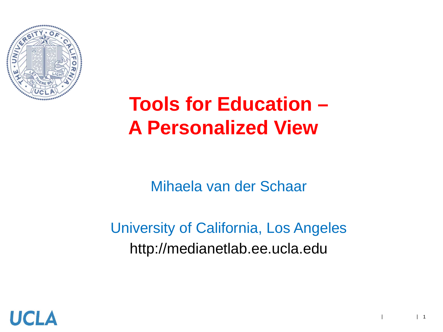

# **Tools for Education – A Personalized View**

Mihaela van der Schaar

#### University of California, Los Angeles http://medianetlab.ee.ucla.edu

| |

 $\vert$  1

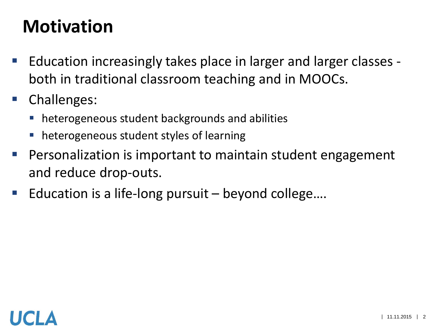#### **Motivation**

- Education increasingly takes place in larger and larger classes both in traditional classroom teaching and in MOOCs.
- **Challenges:** 
	- heterogeneous student backgrounds and abilities
	- **heterogeneous student styles of learning**
- **Personalization is important to maintain student engagement** and reduce drop-outs.
- **E** Education is a life-long pursuit  $-$  beyond college....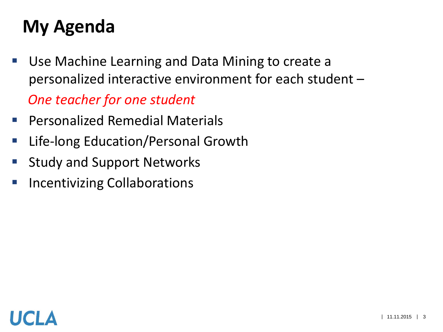#### **My Agenda**

- Use Machine Learning and Data Mining to create a personalized interactive environment for each student – *One teacher for one student*
- **Personalized Remedial Materials**
- **Earth Filte-long Education/Personal Growth**
- **Study and Support Networks**
- **Incentivizing Collaborations**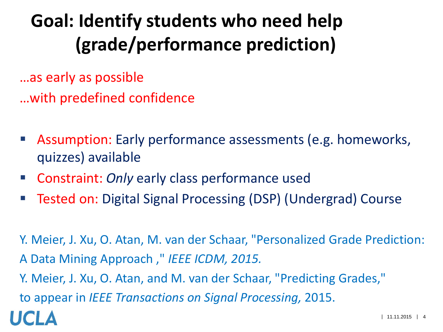# **Goal: Identify students who need help (grade/performance prediction)**

…as early as possible

…with predefined confidence

- Assumption: Early performance assessments (e.g. homeworks, quizzes) available
- Constraint: *Only* early class performance used
- Tested on: Digital Signal Processing (DSP) (Undergrad) Course

Y. Meier, J. Xu, O. Atan, M. van der Schaar, "Personalized Grade Prediction: A Data Mining Approach ," *IEEE ICDM, 2015.* Y. Meier, J. Xu, O. Atan, and M. van der Schaar, "Predicting Grades," to appear in *IEEE Transactions on Signal Processing,* 2015.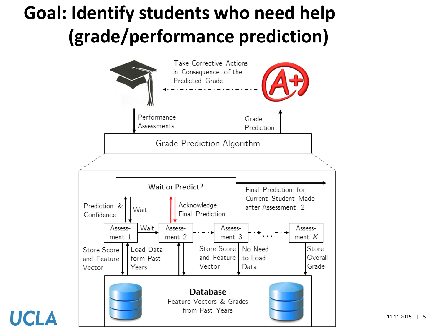### **Goal: Identify students who need help (grade/performance prediction)**



HCI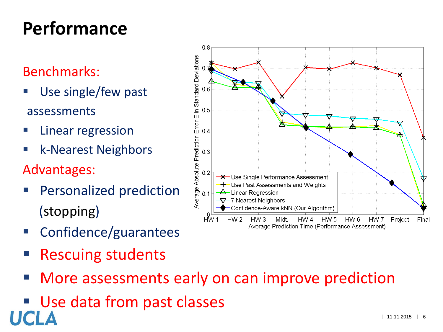## **Performance**

#### Benchmarks:

- Use single/few past assessments
- Linear regression
- k-Nearest Neighbors
- Advantages:
- Personalized prediction (stopping)
- Confidence/guarantees
- Rescuing students
- More assessments early on can improve prediction
- Use data from past classes

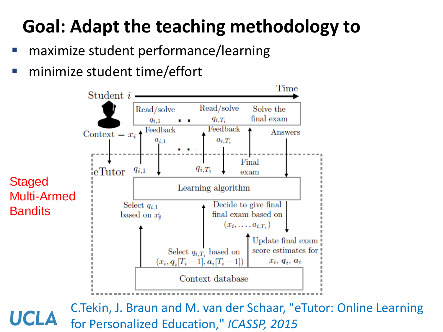# **Goal: Adapt the teaching methodology to**

- maximize student performance/learning
- minimize student time/effort



C.Tekin, J. Braun and M. van der Schaar, "eTutor: Online Learning for Personalized Education," *ICASSP, 2015*